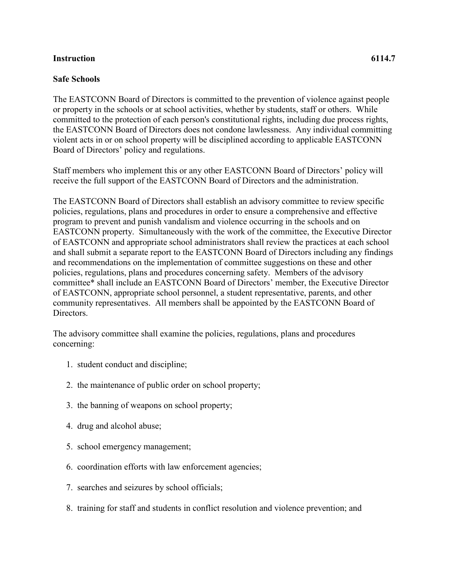## **Instruction 6114.7**

## **Safe Schools**

The EASTCONN Board of Directors is committed to the prevention of violence against people or property in the schools or at school activities, whether by students, staff or others. While committed to the protection of each person's constitutional rights, including due process rights, the EASTCONN Board of Directors does not condone lawlessness. Any individual committing violent acts in or on school property will be disciplined according to applicable EASTCONN Board of Directors' policy and regulations.

Staff members who implement this or any other EASTCONN Board of Directors' policy will receive the full support of the EASTCONN Board of Directors and the administration.

The EASTCONN Board of Directors shall establish an advisory committee to review specific policies, regulations, plans and procedures in order to ensure a comprehensive and effective program to prevent and punish vandalism and violence occurring in the schools and on EASTCONN property. Simultaneously with the work of the committee, the Executive Director of EASTCONN and appropriate school administrators shall review the practices at each school and shall submit a separate report to the EASTCONN Board of Directors including any findings and recommendations on the implementation of committee suggestions on these and other policies, regulations, plans and procedures concerning safety. Members of the advisory committee\* shall include an EASTCONN Board of Directors' member, the Executive Director of EASTCONN, appropriate school personnel, a student representative, parents, and other community representatives. All members shall be appointed by the EASTCONN Board of Directors.

The advisory committee shall examine the policies, regulations, plans and procedures concerning:

- 1. student conduct and discipline;
- 2. the maintenance of public order on school property;
- 3. the banning of weapons on school property;
- 4. drug and alcohol abuse;
- 5. school emergency management;
- 6. coordination efforts with law enforcement agencies;
- 7. searches and seizures by school officials;
- 8. training for staff and students in conflict resolution and violence prevention; and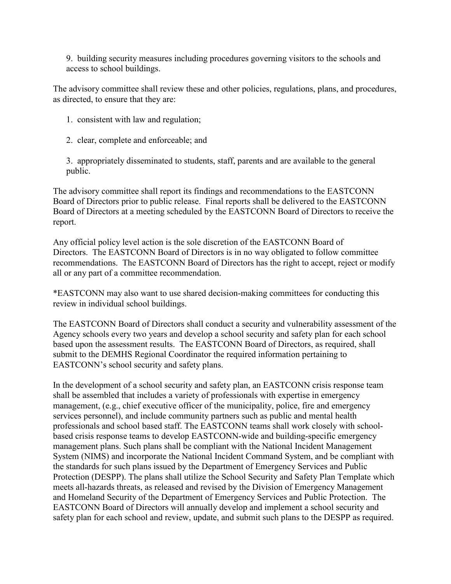9. building security measures including procedures governing visitors to the schools and access to school buildings.

The advisory committee shall review these and other policies, regulations, plans, and procedures, as directed, to ensure that they are:

- 1. consistent with law and regulation;
- 2. clear, complete and enforceable; and

3. appropriately disseminated to students, staff, parents and are available to the general public.

The advisory committee shall report its findings and recommendations to the EASTCONN Board of Directors prior to public release. Final reports shall be delivered to the EASTCONN Board of Directors at a meeting scheduled by the EASTCONN Board of Directors to receive the report.

Any official policy level action is the sole discretion of the EASTCONN Board of Directors. The EASTCONN Board of Directors is in no way obligated to follow committee recommendations. The EASTCONN Board of Directors has the right to accept, reject or modify all or any part of a committee recommendation.

\*EASTCONN may also want to use shared decision-making committees for conducting this review in individual school buildings.

The EASTCONN Board of Directors shall conduct a security and vulnerability assessment of the Agency schools every two years and develop a school security and safety plan for each school based upon the assessment results. The EASTCONN Board of Directors, as required, shall submit to the DEMHS Regional Coordinator the required information pertaining to EASTCONN's school security and safety plans.

In the development of a school security and safety plan, an EASTCONN crisis response team shall be assembled that includes a variety of professionals with expertise in emergency management, (e.g., chief executive officer of the municipality, police, fire and emergency services personnel), and include community partners such as public and mental health professionals and school based staff. The EASTCONN teams shall work closely with schoolbased crisis response teams to develop EASTCONN-wide and building-specific emergency management plans. Such plans shall be compliant with the National Incident Management System (NIMS) and incorporate the National Incident Command System, and be compliant with the standards for such plans issued by the Department of Emergency Services and Public Protection (DESPP). The plans shall utilize the School Security and Safety Plan Template which meets all-hazards threats, as released and revised by the Division of Emergency Management and Homeland Security of the Department of Emergency Services and Public Protection. The EASTCONN Board of Directors will annually develop and implement a school security and safety plan for each school and review, update, and submit such plans to the DESPP as required.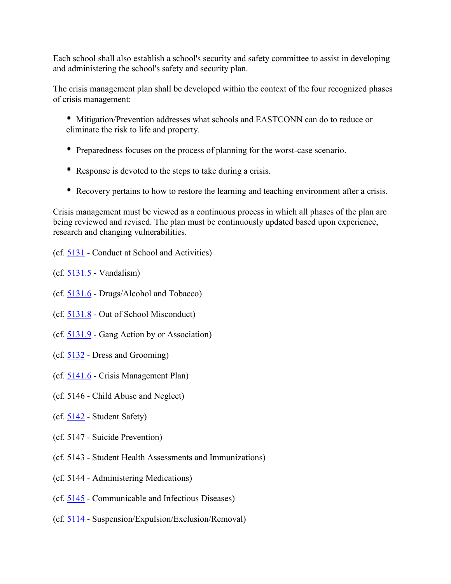Each school shall also establish a school's security and safety committee to assist in developing and administering the school's safety and security plan.

The crisis management plan shall be developed within the context of the four recognized phases of crisis management:

- Mitigation/Prevention addresses what schools and EASTCONN can do to reduce or eliminate the risk to life and property.
- Preparedness focuses on the process of planning for the worst-case scenario.
- Response is devoted to the steps to take during a crisis.
- Recovery pertains to how to restore the learning and teaching environment after a crisis.

Crisis management must be viewed as a continuous process in which all phases of the plan are being reviewed and revised. The plan must be continuously updated based upon experience, research and changing vulnerabilities.

- (cf. [5131](http://z2policy.cabe.org/cabe/DocViewer.jsp?docid=268&z2collection=core#JD_5131)  Conduct at School and Activities)
- (cf. [5131.5](http://z2policy.cabe.org/cabe/DocViewer.jsp?docid=273&z2collection=core#JD_5131.5)  Vandalism)
- (cf. [5131.6](http://z2policy.cabe.org/cabe/DocViewer.jsp?docid=274&z2collection=core#JD_5131.6)  Drugs/Alcohol and Tobacco)
- (cf. [5131.8](http://z2policy.cabe.org/cabe/DocViewer.jsp?docid=277&z2collection=core#JD_5131.8)  Out of School Misconduct)
- (cf. [5131.9](http://z2policy.cabe.org/cabe/DocViewer.jsp?docid=280&z2collection=core#JD_5131.9)  Gang Action by or Association)
- (cf. [5132](http://z2policy.cabe.org/cabe/DocViewer.jsp?docid=283&z2collection=core#JD_5132)  Dress and Grooming)
- (cf. [5141.6](http://z2policy.cabe.org/cabe/DocViewer.jsp?docid=305&z2collection=core#JD_5141.6)  Crisis Management Plan)
- (cf. 5146 Child Abuse and Neglect)
- (cf. [5142](http://z2policy.cabe.org/cabe/DocViewer.jsp?docid=308&z2collection=core#JD_5142)  Student Safety)
- (cf. 5147 Suicide Prevention)
- (cf. 5143 Student Health Assessments and Immunizations)
- (cf. 5144 Administering Medications)
- (cf. [5145](http://z2policy.cabe.org/cabe/DocViewer.jsp?docid=323&z2collection=core#JD_5145)  Communicable and Infectious Diseases)
- (cf. [5114](http://z2policy.cabe.org/cabe/DocViewer.jsp?docid=237&z2collection=core#JD_5114)  Suspension/Expulsion/Exclusion/Removal)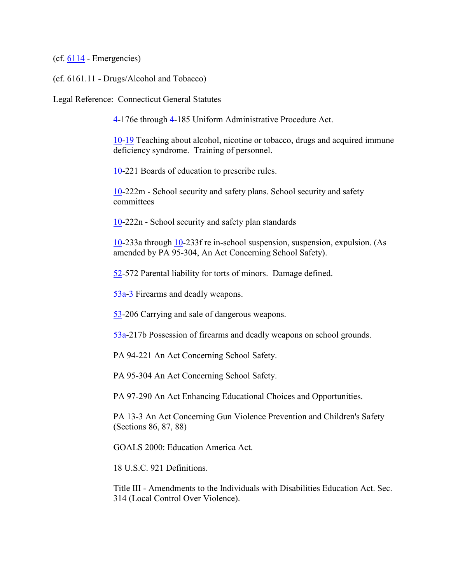$(cf. 6114 - Emergencies)$  $(cf. 6114 - Emergencies)$  $(cf. 6114 - Emergencies)$ 

(cf. 6161.11 - Drugs/Alcohol and Tobacco)

Legal Reference: Connecticut General Statutes

[4-](http://www.cga.ct.gov/2011/pub/Title4.htm)176e through [4-](http://www.cga.ct.gov/2011/pub/Title4.htm)185 Uniform Administrative Procedure Act.

[10-](http://www.cga.ct.gov/2011/pub/Title10.htm)[19](http://www.cga.ct.gov/2011/pub/Title19.htm) Teaching about alcohol, nicotine or tobacco, drugs and acquired immune deficiency syndrome. Training of personnel.

[10-](http://www.cga.ct.gov/2011/pub/Title10.htm)221 Boards of education to prescribe rules.

[10-](http://www.cga.ct.gov/2011/pub/Title10.htm)222m - School security and safety plans. School security and safety committees

[10-](http://www.cga.ct.gov/2011/pub/Title10.htm)222n - School security and safety plan standards

[10-](http://www.cga.ct.gov/2011/pub/Title10.htm)233a through [10-](http://www.cga.ct.gov/2011/pub/Title10.htm)233f re in-school suspension, suspension, expulsion. (As amended by PA 95-304, An Act Concerning School Safety).

[52-](http://www.cga.ct.gov/2011/pub/Title52.htm)572 Parental liability for torts of minors. Damage defined.

[53a-](http://www.cga.ct.gov/2011/pub/Title53a.htm)[3](http://www.cga.ct.gov/2011/pub/Title3.htm) Firearms and deadly weapons.

[53-](http://www.cga.ct.gov/2011/pub/Title53.htm)206 Carrying and sale of dangerous weapons.

[53a-](http://www.cga.ct.gov/2011/pub/Title53a.htm)217b Possession of firearms and deadly weapons on school grounds.

PA 94-221 An Act Concerning School Safety.

PA 95-304 An Act Concerning School Safety.

PA 97-290 An Act Enhancing Educational Choices and Opportunities.

PA 13-3 An Act Concerning Gun Violence Prevention and Children's Safety (Sections 86, 87, 88)

GOALS 2000: Education America Act.

18 U.S.C. 921 Definitions.

Title III - Amendments to the Individuals with Disabilities Education Act. Sec. 314 (Local Control Over Violence).